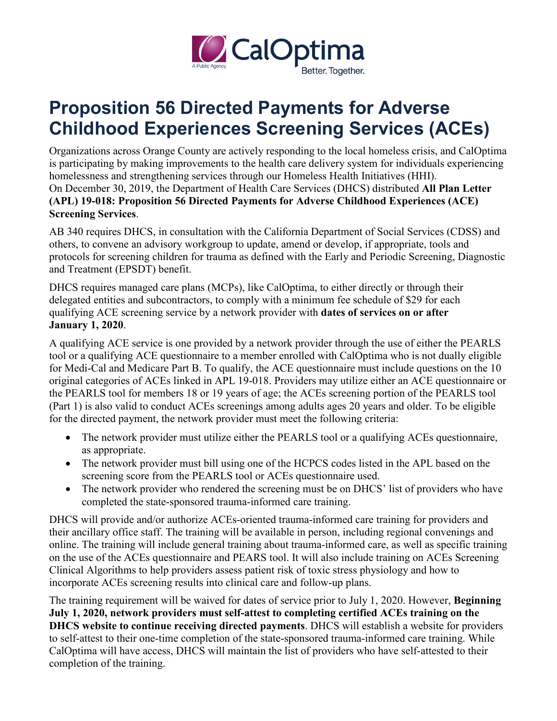

## **Proposition 56 Directed Payments for Adverse Childhood Experiences Screening Services (ACEs)**

Organizations across Orange County are actively responding to the local homeless crisis, and CalOptima is participating by making improvements to the health care delivery system for individuals experiencing homelessness and strengthening services through our Homeless Health Initiatives (HHI). On December 30, 2019, the Department of Health Care Services (DHCS) distributed **All Plan Letter (APL) 19-018: Proposition 56 Directed Payments for Adverse Childhood Experiences (ACE) Screening Services**.

AB 340 requires DHCS, in consultation with the California Department of Social Services (CDSS) and others, to convene an advisory workgroup to update, amend or develop, if appropriate, tools and protocols for screening children for trauma as defined with the Early and Periodic Screening, Diagnostic and Treatment (EPSDT) benefit.

DHCS requires managed care plans (MCPs), like CalOptima, to either directly or through their delegated entities and subcontractors, to comply with a minimum fee schedule of \$29 for each qualifying ACE screening service by a network provider with **dates of services on or after January 1, 2020**.

A qualifying ACE service is one provided by a network provider through the use of either the PEARLS tool or a qualifying ACE questionnaire to a member enrolled with CalOptima who is not dually eligible for Medi-Cal and Medicare Part B. To qualify, the ACE questionnaire must include questions on the 10 original categories of ACEs linked in APL 19-018. Providers may utilize either an ACE questionnaire or the PEARLS tool for members 18 or 19 years of age; the ACEs screening portion of the PEARLS tool (Part 1) is also valid to conduct ACEs screenings among adults ages 20 years and older. To be eligible for the directed payment, the network provider must meet the following criteria:

- The network provider must utilize either the PEARLS tool or a qualifying ACEs questionnaire, as appropriate.
- The network provider must bill using one of the HCPCS codes listed in the APL based on the screening score from the PEARLS tool or ACEs questionnaire used.
- The network provider who rendered the screening must be on DHCS' list of providers who have completed the state-sponsored trauma-informed care training.

DHCS will provide and/or authorize ACEs-oriented trauma-informed care training for providers and their ancillary office staff. The training will be available in person, including regional convenings and online. The training will include general training about trauma-informed care, as well as specific training on the use of the ACEs questionnaire and PEARS tool. It will also include training on ACEs Screening Clinical Algorithms to help providers assess patient risk of toxic stress physiology and how to incorporate ACEs screening results into clinical care and follow-up plans.

The training requirement will be waived for dates of service prior to July 1, 2020. However, **Beginning July 1, 2020, network providers must self-attest to completing certified ACEs training on the DHCS website to continue receiving directed payments**. DHCS will establish a website for providers to self-attest to their one-time completion of the state-sponsored trauma-informed care training. While CalOptima will have access, DHCS will maintain the list of providers who have self-attested to their completion of the training.